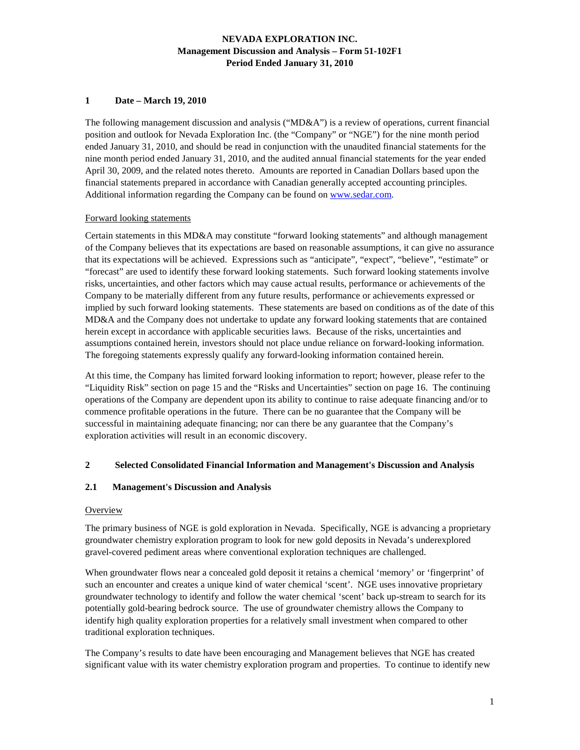### **1 Date – March 19, 2010**

The following management discussion and analysis ("MD&A") is a review of operations, current financial position and outlook for Nevada Exploration Inc. (the "Company" or "NGE") for the nine month period ended January 31, 2010, and should be read in conjunction with the unaudited financial statements for the nine month period ended January 31, 2010, and the audited annual financial statements for the year ended April 30, 2009, and the related notes thereto. Amounts are reported in Canadian Dollars based upon the financial statements prepared in accordance with Canadian generally accepted accounting principles. Additional information regarding the Company can be found on www.sedar.com.

#### Forward looking statements

Certain statements in this MD&A may constitute "forward looking statements" and although management of the Company believes that its expectations are based on reasonable assumptions, it can give no assurance that its expectations will be achieved. Expressions such as "anticipate", "expect", "believe", "estimate" or "forecast" are used to identify these forward looking statements. Such forward looking statements involve risks, uncertainties, and other factors which may cause actual results, performance or achievements of the Company to be materially different from any future results, performance or achievements expressed or implied by such forward looking statements. These statements are based on conditions as of the date of this MD&A and the Company does not undertake to update any forward looking statements that are contained herein except in accordance with applicable securities laws. Because of the risks, uncertainties and assumptions contained herein, investors should not place undue reliance on forward-looking information. The foregoing statements expressly qualify any forward-looking information contained herein.

At this time, the Company has limited forward looking information to report; however, please refer to the "Liquidity Risk" section on page 15 and the "Risks and Uncertainties" section on page 16. The continuing operations of the Company are dependent upon its ability to continue to raise adequate financing and/or to commence profitable operations in the future. There can be no guarantee that the Company will be successful in maintaining adequate financing; nor can there be any guarantee that the Company's exploration activities will result in an economic discovery.

# **2 Selected Consolidated Financial Information and Management's Discussion and Analysis**

### **2.1 Management's Discussion and Analysis**

#### **Overview**

The primary business of NGE is gold exploration in Nevada. Specifically, NGE is advancing a proprietary groundwater chemistry exploration program to look for new gold deposits in Nevada's underexplored gravel-covered pediment areas where conventional exploration techniques are challenged.

When groundwater flows near a concealed gold deposit it retains a chemical 'memory' or 'fingerprint' of such an encounter and creates a unique kind of water chemical 'scent'. NGE uses innovative proprietary groundwater technology to identify and follow the water chemical 'scent' back up-stream to search for its potentially gold-bearing bedrock source. The use of groundwater chemistry allows the Company to identify high quality exploration properties for a relatively small investment when compared to other traditional exploration techniques.

The Company's results to date have been encouraging and Management believes that NGE has created significant value with its water chemistry exploration program and properties. To continue to identify new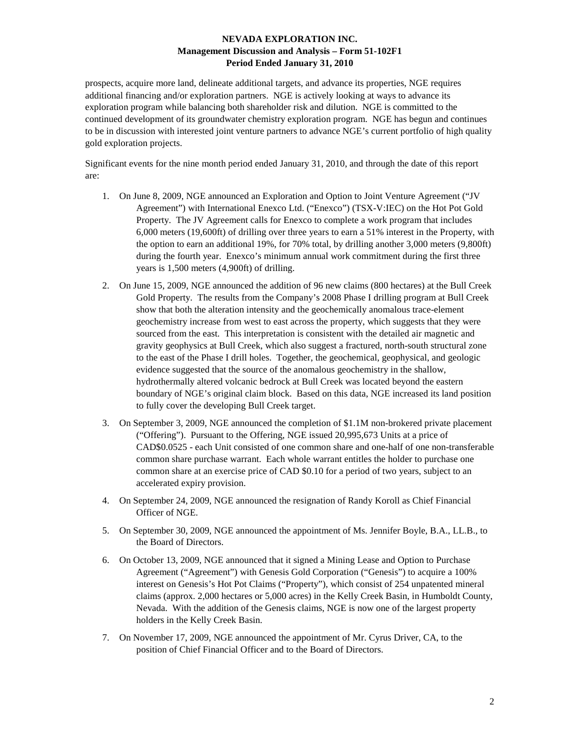prospects, acquire more land, delineate additional targets, and advance its properties, NGE requires additional financing and/or exploration partners. NGE is actively looking at ways to advance its exploration program while balancing both shareholder risk and dilution. NGE is committed to the continued development of its groundwater chemistry exploration program. NGE has begun and continues to be in discussion with interested joint venture partners to advance NGE's current portfolio of high quality gold exploration projects.

Significant events for the nine month period ended January 31, 2010, and through the date of this report are:

- 1. On June 8, 2009, NGE announced an Exploration and Option to Joint Venture Agreement ("JV Agreement") with International Enexco Ltd. ("Enexco") (TSX-V:IEC) on the Hot Pot Gold Property. The JV Agreement calls for Enexco to complete a work program that includes 6,000 meters (19,600ft) of drilling over three years to earn a 51% interest in the Property, with the option to earn an additional 19%, for 70% total, by drilling another 3,000 meters (9,800ft) during the fourth year. Enexco's minimum annual work commitment during the first three years is 1,500 meters (4,900ft) of drilling.
- 2. On June 15, 2009, NGE announced the addition of 96 new claims (800 hectares) at the Bull Creek Gold Property. The results from the Company's 2008 Phase I drilling program at Bull Creek show that both the alteration intensity and the geochemically anomalous trace-element geochemistry increase from west to east across the property, which suggests that they were sourced from the east. This interpretation is consistent with the detailed air magnetic and gravity geophysics at Bull Creek, which also suggest a fractured, north-south structural zone to the east of the Phase I drill holes. Together, the geochemical, geophysical, and geologic evidence suggested that the source of the anomalous geochemistry in the shallow, hydrothermally altered volcanic bedrock at Bull Creek was located beyond the eastern boundary of NGE's original claim block. Based on this data, NGE increased its land position to fully cover the developing Bull Creek target.
- 3. On September 3, 2009, NGE announced the completion of \$1.1M non-brokered private placement ("Offering"). Pursuant to the Offering, NGE issued 20,995,673 Units at a price of CAD\$0.0525 - each Unit consisted of one common share and one-half of one non-transferable common share purchase warrant. Each whole warrant entitles the holder to purchase one common share at an exercise price of CAD \$0.10 for a period of two years, subject to an accelerated expiry provision.
- 4. On September 24, 2009, NGE announced the resignation of Randy Koroll as Chief Financial Officer of NGE.
- 5. On September 30, 2009, NGE announced the appointment of Ms. Jennifer Boyle, B.A., LL.B., to the Board of Directors.
- 6. On October 13, 2009, NGE announced that it signed a Mining Lease and Option to Purchase Agreement ("Agreement") with Genesis Gold Corporation ("Genesis") to acquire a 100% interest on Genesis's Hot Pot Claims ("Property"), which consist of 254 unpatented mineral claims (approx. 2,000 hectares or 5,000 acres) in the Kelly Creek Basin, in Humboldt County, Nevada. With the addition of the Genesis claims, NGE is now one of the largest property holders in the Kelly Creek Basin.
- 7. On November 17, 2009, NGE announced the appointment of Mr. Cyrus Driver, CA, to the position of Chief Financial Officer and to the Board of Directors.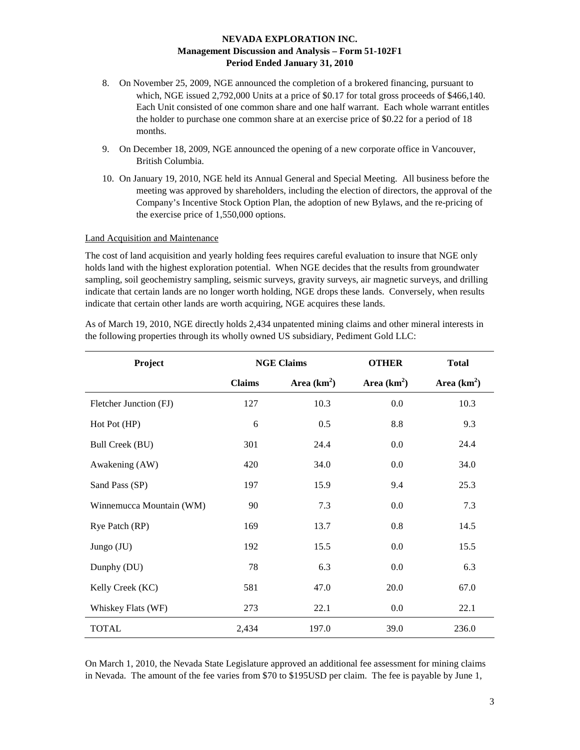- 8. On November 25, 2009, NGE announced the completion of a brokered financing, pursuant to which, NGE issued 2,792,000 Units at a price of \$0.17 for total gross proceeds of \$466,140. Each Unit consisted of one common share and one half warrant. Each whole warrant entitles the holder to purchase one common share at an exercise price of \$0.22 for a period of 18 months.
- 9. On December 18, 2009, NGE announced the opening of a new corporate office in Vancouver, British Columbia.
- 10. On January 19, 2010, NGE held its Annual General and Special Meeting. All business before the meeting was approved by shareholders, including the election of directors, the approval of the Company's Incentive Stock Option Plan, the adoption of new Bylaws, and the re-pricing of the exercise price of 1,550,000 options.

### Land Acquisition and Maintenance

The cost of land acquisition and yearly holding fees requires careful evaluation to insure that NGE only holds land with the highest exploration potential. When NGE decides that the results from groundwater sampling, soil geochemistry sampling, seismic surveys, gravity surveys, air magnetic surveys, and drilling indicate that certain lands are no longer worth holding, NGE drops these lands. Conversely, when results indicate that certain other lands are worth acquiring, NGE acquires these lands.

| Project                  | <b>NGE Claims</b> |               | <b>OTHER</b>  | <b>Total</b>  |
|--------------------------|-------------------|---------------|---------------|---------------|
|                          | <b>Claims</b>     | Area $(km^2)$ | Area $(km^2)$ | Area $(km^2)$ |
| Fletcher Junction (FJ)   | 127               | 10.3          | 0.0           | 10.3          |
| Hot Pot (HP)             | 6                 | 0.5           | 8.8           | 9.3           |
| <b>Bull Creek (BU)</b>   | 301               | 24.4          | 0.0           | 24.4          |
| Awakening (AW)           | 420               | 34.0          | 0.0           | 34.0          |
| Sand Pass (SP)           | 197               | 15.9          | 9.4           | 25.3          |
| Winnemucca Mountain (WM) | 90                | 7.3           | 0.0           | 7.3           |
| Rye Patch (RP)           | 169               | 13.7          | 0.8           | 14.5          |
| Jungo (JU)               | 192               | 15.5          | 0.0           | 15.5          |
| Dunphy (DU)              | 78                | 6.3           | 0.0           | 6.3           |
| Kelly Creek (KC)         | 581               | 47.0          | 20.0          | 67.0          |
| Whiskey Flats (WF)       | 273               | 22.1          | 0.0           | 22.1          |
| <b>TOTAL</b>             | 2,434             | 197.0         | 39.0          | 236.0         |

As of March 19, 2010, NGE directly holds 2,434 unpatented mining claims and other mineral interests in the following properties through its wholly owned US subsidiary, Pediment Gold LLC:

On March 1, 2010, the Nevada State Legislature approved an additional fee assessment for mining claims in Nevada. The amount of the fee varies from \$70 to \$195USD per claim. The fee is payable by June 1,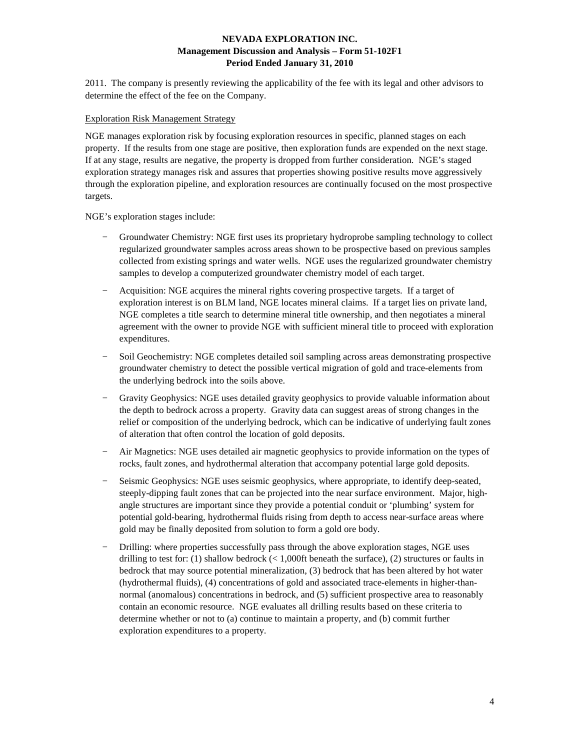2011. The company is presently reviewing the applicability of the fee with its legal and other advisors to determine the effect of the fee on the Company.

#### Exploration Risk Management Strategy

NGE manages exploration risk by focusing exploration resources in specific, planned stages on each property. If the results from one stage are positive, then exploration funds are expended on the next stage. If at any stage, results are negative, the property is dropped from further consideration. NGE's staged exploration strategy manages risk and assures that properties showing positive results move aggressively through the exploration pipeline, and exploration resources are continually focused on the most prospective targets.

NGE's exploration stages include:

- − Groundwater Chemistry: NGE first uses its proprietary hydroprobe sampling technology to collect regularized groundwater samples across areas shown to be prospective based on previous samples collected from existing springs and water wells. NGE uses the regularized groundwater chemistry samples to develop a computerized groundwater chemistry model of each target.
- − Acquisition: NGE acquires the mineral rights covering prospective targets. If a target of exploration interest is on BLM land, NGE locates mineral claims. If a target lies on private land, NGE completes a title search to determine mineral title ownership, and then negotiates a mineral agreement with the owner to provide NGE with sufficient mineral title to proceed with exploration expenditures.
- − Soil Geochemistry: NGE completes detailed soil sampling across areas demonstrating prospective groundwater chemistry to detect the possible vertical migration of gold and trace-elements from the underlying bedrock into the soils above.
- Gravity Geophysics: NGE uses detailed gravity geophysics to provide valuable information about the depth to bedrock across a property. Gravity data can suggest areas of strong changes in the relief or composition of the underlying bedrock, which can be indicative of underlying fault zones of alteration that often control the location of gold deposits.
- − Air Magnetics: NGE uses detailed air magnetic geophysics to provide information on the types of rocks, fault zones, and hydrothermal alteration that accompany potential large gold deposits.
- − Seismic Geophysics: NGE uses seismic geophysics, where appropriate, to identify deep-seated, steeply-dipping fault zones that can be projected into the near surface environment. Major, highangle structures are important since they provide a potential conduit or 'plumbing' system for potential gold-bearing, hydrothermal fluids rising from depth to access near-surface areas where gold may be finally deposited from solution to form a gold ore body.
- Drilling: where properties successfully pass through the above exploration stages, NGE uses drilling to test for: (1) shallow bedrock (< 1,000ft beneath the surface), (2) structures or faults in bedrock that may source potential mineralization, (3) bedrock that has been altered by hot water (hydrothermal fluids), (4) concentrations of gold and associated trace-elements in higher-thannormal (anomalous) concentrations in bedrock, and (5) sufficient prospective area to reasonably contain an economic resource. NGE evaluates all drilling results based on these criteria to determine whether or not to (a) continue to maintain a property, and (b) commit further exploration expenditures to a property.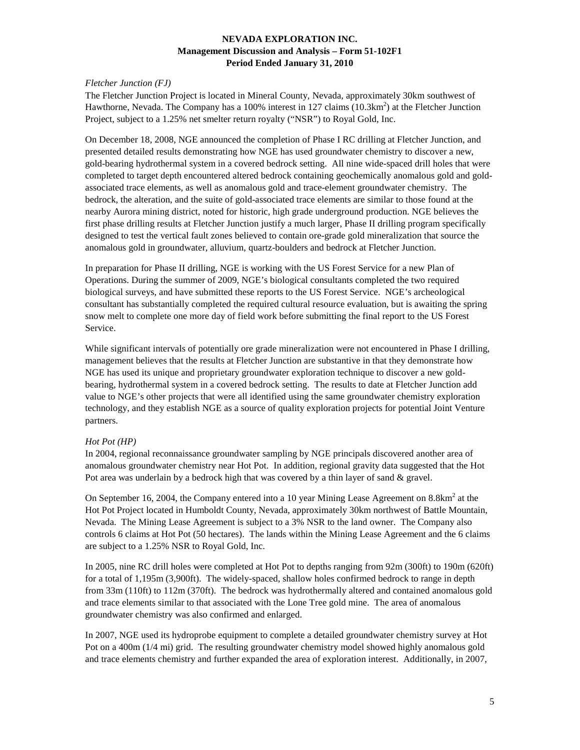### *Fletcher Junction (FJ)*

The Fletcher Junction Project is located in Mineral County, Nevada, approximately 30km southwest of Hawthorne, Nevada. The Company has a 100% interest in 127 claims  $(10.3 \text{km}^2)$  at the Fletcher Junction Project, subject to a 1.25% net smelter return royalty ("NSR") to Royal Gold, Inc.

On December 18, 2008, NGE announced the completion of Phase I RC drilling at Fletcher Junction, and presented detailed results demonstrating how NGE has used groundwater chemistry to discover a new, gold-bearing hydrothermal system in a covered bedrock setting. All nine wide-spaced drill holes that were completed to target depth encountered altered bedrock containing geochemically anomalous gold and goldassociated trace elements, as well as anomalous gold and trace-element groundwater chemistry. The bedrock, the alteration, and the suite of gold-associated trace elements are similar to those found at the nearby Aurora mining district, noted for historic, high grade underground production. NGE believes the first phase drilling results at Fletcher Junction justify a much larger, Phase II drilling program specifically designed to test the vertical fault zones believed to contain ore-grade gold mineralization that source the anomalous gold in groundwater, alluvium, quartz-boulders and bedrock at Fletcher Junction.

In preparation for Phase II drilling, NGE is working with the US Forest Service for a new Plan of Operations. During the summer of 2009, NGE's biological consultants completed the two required biological surveys, and have submitted these reports to the US Forest Service. NGE's archeological consultant has substantially completed the required cultural resource evaluation, but is awaiting the spring snow melt to complete one more day of field work before submitting the final report to the US Forest Service.

While significant intervals of potentially ore grade mineralization were not encountered in Phase I drilling, management believes that the results at Fletcher Junction are substantive in that they demonstrate how NGE has used its unique and proprietary groundwater exploration technique to discover a new goldbearing, hydrothermal system in a covered bedrock setting. The results to date at Fletcher Junction add value to NGE's other projects that were all identified using the same groundwater chemistry exploration technology, and they establish NGE as a source of quality exploration projects for potential Joint Venture partners.

# *Hot Pot (HP)*

In 2004, regional reconnaissance groundwater sampling by NGE principals discovered another area of anomalous groundwater chemistry near Hot Pot. In addition, regional gravity data suggested that the Hot Pot area was underlain by a bedrock high that was covered by a thin layer of sand & gravel.

On September 16, 2004, the Company entered into a 10 year Mining Lease Agreement on  $8.8 \text{km}^2$  at the Hot Pot Project located in Humboldt County, Nevada, approximately 30km northwest of Battle Mountain, Nevada. The Mining Lease Agreement is subject to a 3% NSR to the land owner. The Company also controls 6 claims at Hot Pot (50 hectares). The lands within the Mining Lease Agreement and the 6 claims are subject to a 1.25% NSR to Royal Gold, Inc.

In 2005, nine RC drill holes were completed at Hot Pot to depths ranging from 92m (300ft) to 190m (620ft) for a total of 1,195m (3,900ft). The widely-spaced, shallow holes confirmed bedrock to range in depth from 33m (110ft) to 112m (370ft). The bedrock was hydrothermally altered and contained anomalous gold and trace elements similar to that associated with the Lone Tree gold mine. The area of anomalous groundwater chemistry was also confirmed and enlarged.

In 2007, NGE used its hydroprobe equipment to complete a detailed groundwater chemistry survey at Hot Pot on a 400m (1/4 mi) grid. The resulting groundwater chemistry model showed highly anomalous gold and trace elements chemistry and further expanded the area of exploration interest. Additionally, in 2007,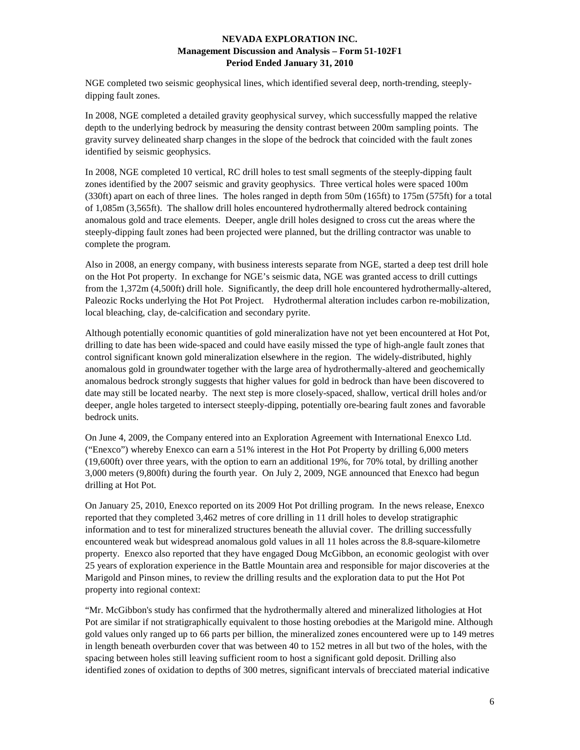NGE completed two seismic geophysical lines, which identified several deep, north-trending, steeplydipping fault zones.

In 2008, NGE completed a detailed gravity geophysical survey, which successfully mapped the relative depth to the underlying bedrock by measuring the density contrast between 200m sampling points. The gravity survey delineated sharp changes in the slope of the bedrock that coincided with the fault zones identified by seismic geophysics.

In 2008, NGE completed 10 vertical, RC drill holes to test small segments of the steeply-dipping fault zones identified by the 2007 seismic and gravity geophysics. Three vertical holes were spaced 100m (330ft) apart on each of three lines. The holes ranged in depth from 50m (165ft) to 175m (575ft) for a total of 1,085m (3,565ft). The shallow drill holes encountered hydrothermally altered bedrock containing anomalous gold and trace elements. Deeper, angle drill holes designed to cross cut the areas where the steeply-dipping fault zones had been projected were planned, but the drilling contractor was unable to complete the program.

Also in 2008, an energy company, with business interests separate from NGE, started a deep test drill hole on the Hot Pot property. In exchange for NGE's seismic data, NGE was granted access to drill cuttings from the 1,372m (4,500ft) drill hole. Significantly, the deep drill hole encountered hydrothermally-altered, Paleozic Rocks underlying the Hot Pot Project. Hydrothermal alteration includes carbon re-mobilization, local bleaching, clay, de-calcification and secondary pyrite.

Although potentially economic quantities of gold mineralization have not yet been encountered at Hot Pot, drilling to date has been wide-spaced and could have easily missed the type of high-angle fault zones that control significant known gold mineralization elsewhere in the region. The widely-distributed, highly anomalous gold in groundwater together with the large area of hydrothermally-altered and geochemically anomalous bedrock strongly suggests that higher values for gold in bedrock than have been discovered to date may still be located nearby. The next step is more closely-spaced, shallow, vertical drill holes and/or deeper, angle holes targeted to intersect steeply-dipping, potentially ore-bearing fault zones and favorable bedrock units.

On June 4, 2009, the Company entered into an Exploration Agreement with International Enexco Ltd. ("Enexco") whereby Enexco can earn a 51% interest in the Hot Pot Property by drilling 6,000 meters (19,600ft) over three years, with the option to earn an additional 19%, for 70% total, by drilling another 3,000 meters (9,800ft) during the fourth year. On July 2, 2009, NGE announced that Enexco had begun drilling at Hot Pot.

On January 25, 2010, Enexco reported on its 2009 Hot Pot drilling program. In the news release, Enexco reported that they completed 3,462 metres of core drilling in 11 drill holes to develop stratigraphic information and to test for mineralized structures beneath the alluvial cover. The drilling successfully encountered weak but widespread anomalous gold values in all 11 holes across the 8.8-square-kilometre property. Enexco also reported that they have engaged Doug McGibbon, an economic geologist with over 25 years of exploration experience in the Battle Mountain area and responsible for major discoveries at the Marigold and Pinson mines, to review the drilling results and the exploration data to put the Hot Pot property into regional context:

"Mr. McGibbon's study has confirmed that the hydrothermally altered and mineralized lithologies at Hot Pot are similar if not stratigraphically equivalent to those hosting orebodies at the Marigold mine. Although gold values only ranged up to 66 parts per billion, the mineralized zones encountered were up to 149 metres in length beneath overburden cover that was between 40 to 152 metres in all but two of the holes, with the spacing between holes still leaving sufficient room to host a significant gold deposit. Drilling also identified zones of oxidation to depths of 300 metres, significant intervals of brecciated material indicative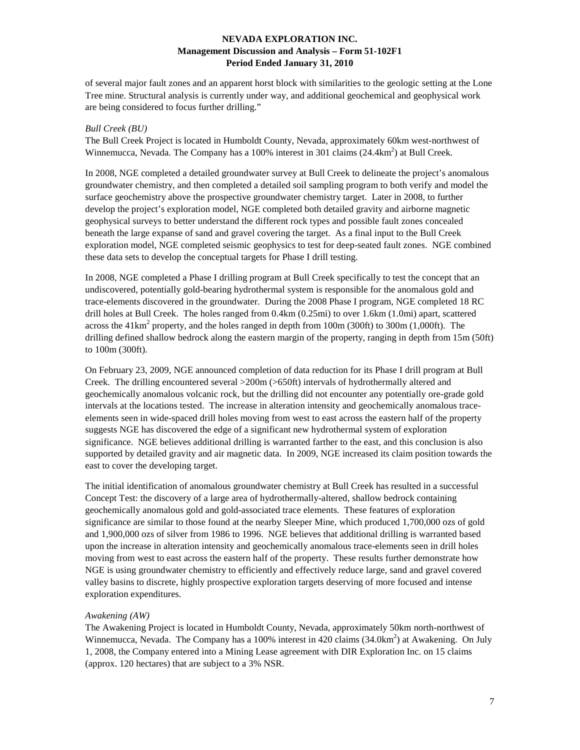of several major fault zones and an apparent horst block with similarities to the geologic setting at the Lone Tree mine. Structural analysis is currently under way, and additional geochemical and geophysical work are being considered to focus further drilling."

#### *Bull Creek (BU)*

The Bull Creek Project is located in Humboldt County, Nevada, approximately 60km west-northwest of Winnemucca, Nevada. The Company has a 100% interest in 301 claims  $(24.4 \text{km}^2)$  at Bull Creek.

In 2008, NGE completed a detailed groundwater survey at Bull Creek to delineate the project's anomalous groundwater chemistry, and then completed a detailed soil sampling program to both verify and model the surface geochemistry above the prospective groundwater chemistry target. Later in 2008, to further develop the project's exploration model, NGE completed both detailed gravity and airborne magnetic geophysical surveys to better understand the different rock types and possible fault zones concealed beneath the large expanse of sand and gravel covering the target. As a final input to the Bull Creek exploration model, NGE completed seismic geophysics to test for deep-seated fault zones. NGE combined these data sets to develop the conceptual targets for Phase I drill testing.

In 2008, NGE completed a Phase I drilling program at Bull Creek specifically to test the concept that an undiscovered, potentially gold-bearing hydrothermal system is responsible for the anomalous gold and trace-elements discovered in the groundwater. During the 2008 Phase I program, NGE completed 18 RC drill holes at Bull Creek. The holes ranged from 0.4km (0.25mi) to over 1.6km (1.0mi) apart, scattered across the  $41 \text{km}^2$  property, and the holes ranged in depth from  $100 \text{m}$  (300ft) to 300m (1,000ft). The drilling defined shallow bedrock along the eastern margin of the property, ranging in depth from 15m (50ft) to 100m (300ft).

On February 23, 2009, NGE announced completion of data reduction for its Phase I drill program at Bull Creek. The drilling encountered several >200m (>650ft) intervals of hydrothermally altered and geochemically anomalous volcanic rock, but the drilling did not encounter any potentially ore-grade gold intervals at the locations tested. The increase in alteration intensity and geochemically anomalous traceelements seen in wide-spaced drill holes moving from west to east across the eastern half of the property suggests NGE has discovered the edge of a significant new hydrothermal system of exploration significance. NGE believes additional drilling is warranted farther to the east, and this conclusion is also supported by detailed gravity and air magnetic data. In 2009, NGE increased its claim position towards the east to cover the developing target.

The initial identification of anomalous groundwater chemistry at Bull Creek has resulted in a successful Concept Test: the discovery of a large area of hydrothermally-altered, shallow bedrock containing geochemically anomalous gold and gold-associated trace elements. These features of exploration significance are similar to those found at the nearby Sleeper Mine, which produced 1,700,000 ozs of gold and 1,900,000 ozs of silver from 1986 to 1996. NGE believes that additional drilling is warranted based upon the increase in alteration intensity and geochemically anomalous trace-elements seen in drill holes moving from west to east across the eastern half of the property. These results further demonstrate how NGE is using groundwater chemistry to efficiently and effectively reduce large, sand and gravel covered valley basins to discrete, highly prospective exploration targets deserving of more focused and intense exploration expenditures.

#### *Awakening (AW)*

The Awakening Project is located in Humboldt County, Nevada, approximately 50km north-northwest of Winnemucca, Nevada. The Company has a 100% interest in 420 claims  $(34.0 \text{km}^2)$  at Awakening. On July 1, 2008, the Company entered into a Mining Lease agreement with DIR Exploration Inc. on 15 claims (approx. 120 hectares) that are subject to a 3% NSR.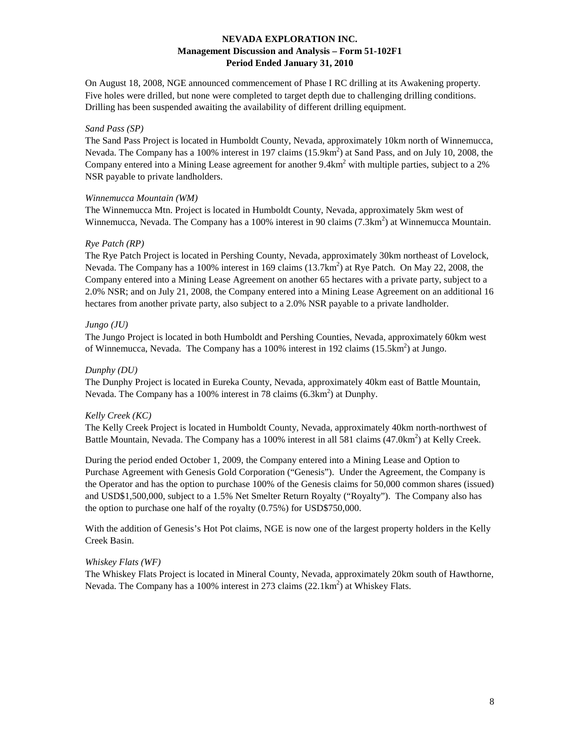On August 18, 2008, NGE announced commencement of Phase I RC drilling at its Awakening property. Five holes were drilled, but none were completed to target depth due to challenging drilling conditions. Drilling has been suspended awaiting the availability of different drilling equipment.

#### *Sand Pass (SP)*

The Sand Pass Project is located in Humboldt County, Nevada, approximately 10km north of Winnemucca, Nevada. The Company has a 100% interest in 197 claims (15.9km<sup>2</sup>) at Sand Pass, and on July 10, 2008, the Company entered into a Mining Lease agreement for another 9.4km<sup>2</sup> with multiple parties, subject to a 2% NSR payable to private landholders.

#### *Winnemucca Mountain (WM)*

The Winnemucca Mtn. Project is located in Humboldt County, Nevada, approximately 5km west of Winnemucca, Nevada. The Company has a 100% interest in 90 claims  $(7.3 \text{km}^2)$  at Winnemucca Mountain.

#### *Rye Patch (RP)*

The Rye Patch Project is located in Pershing County, Nevada, approximately 30km northeast of Lovelock, Nevada. The Company has a 100% interest in 169 claims (13.7km<sup>2</sup>) at Rye Patch. On May 22, 2008, the Company entered into a Mining Lease Agreement on another 65 hectares with a private party, subject to a 2.0% NSR; and on July 21, 2008, the Company entered into a Mining Lease Agreement on an additional 16 hectares from another private party, also subject to a 2.0% NSR payable to a private landholder.

### *Jungo (JU)*

The Jungo Project is located in both Humboldt and Pershing Counties, Nevada, approximately 60km west of Winnemucca, Nevada. The Company has a  $100\%$  interest in 192 claims  $(15.5 \text{km}^2)$  at Jungo.

#### *Dunphy (DU)*

The Dunphy Project is located in Eureka County, Nevada, approximately 40km east of Battle Mountain, Nevada. The Company has a 100% interest in 78 claims  $(6.3 \text{km}^2)$  at Dunphy.

### *Kelly Creek (KC)*

The Kelly Creek Project is located in Humboldt County, Nevada, approximately 40km north-northwest of Battle Mountain, Nevada. The Company has a 100% interest in all 581 claims (47.0km<sup>2</sup>) at Kelly Creek.

During the period ended October 1, 2009, the Company entered into a Mining Lease and Option to Purchase Agreement with Genesis Gold Corporation ("Genesis"). Under the Agreement, the Company is the Operator and has the option to purchase 100% of the Genesis claims for 50,000 common shares (issued) and USD\$1,500,000, subject to a 1.5% Net Smelter Return Royalty ("Royalty"). The Company also has the option to purchase one half of the royalty (0.75%) for USD\$750,000.

With the addition of Genesis's Hot Pot claims, NGE is now one of the largest property holders in the Kelly Creek Basin.

### *Whiskey Flats (WF)*

The Whiskey Flats Project is located in Mineral County, Nevada, approximately 20km south of Hawthorne, Nevada. The Company has a 100% interest in 273 claims  $(22.1 \text{km}^2)$  at Whiskey Flats.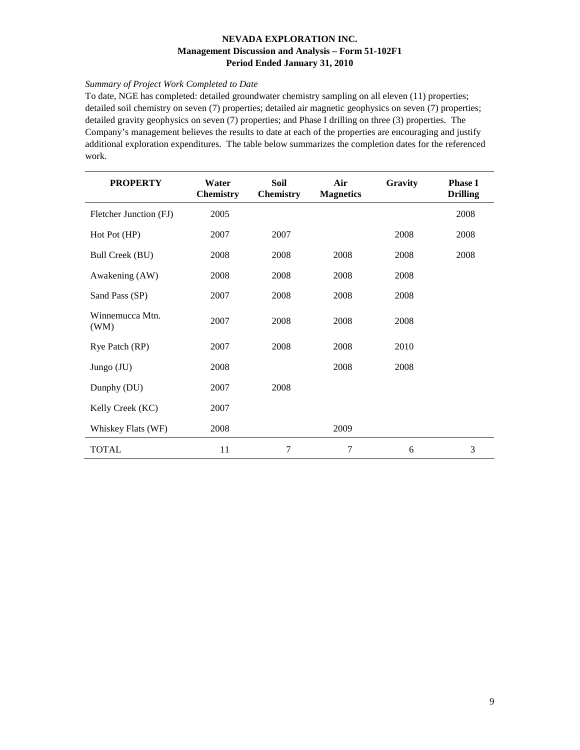# *Summary of Project Work Completed to Date*

To date, NGE has completed: detailed groundwater chemistry sampling on all eleven (11) properties; detailed soil chemistry on seven (7) properties; detailed air magnetic geophysics on seven (7) properties; detailed gravity geophysics on seven (7) properties; and Phase I drilling on three (3) properties. The Company's management believes the results to date at each of the properties are encouraging and justify additional exploration expenditures. The table below summarizes the completion dates for the referenced work.

| <b>PROPERTY</b>         | Water<br><b>Chemistry</b> | Soil<br><b>Chemistry</b> | Air<br><b>Magnetics</b> | Gravity | <b>Phase I</b><br><b>Drilling</b> |
|-------------------------|---------------------------|--------------------------|-------------------------|---------|-----------------------------------|
| Fletcher Junction (FJ)  | 2005                      |                          |                         |         | 2008                              |
| Hot Pot (HP)            | 2007                      | 2007                     |                         | 2008    | 2008                              |
| <b>Bull Creek (BU)</b>  | 2008                      | 2008                     | 2008                    | 2008    | 2008                              |
| Awakening (AW)          | 2008                      | 2008                     | 2008                    | 2008    |                                   |
| Sand Pass (SP)          | 2007                      | 2008                     | 2008                    | 2008    |                                   |
| Winnemucca Mtn.<br>(WM) | 2007                      | 2008                     | 2008                    | 2008    |                                   |
| Rye Patch (RP)          | 2007                      | 2008                     | 2008                    | 2010    |                                   |
| Jungo (JU)              | 2008                      |                          | 2008                    | 2008    |                                   |
| Dunphy (DU)             | 2007                      | 2008                     |                         |         |                                   |
| Kelly Creek (KC)        | 2007                      |                          |                         |         |                                   |
| Whiskey Flats (WF)      | 2008                      |                          | 2009                    |         |                                   |
| <b>TOTAL</b>            | 11                        | 7                        | 7                       | 6       | 3                                 |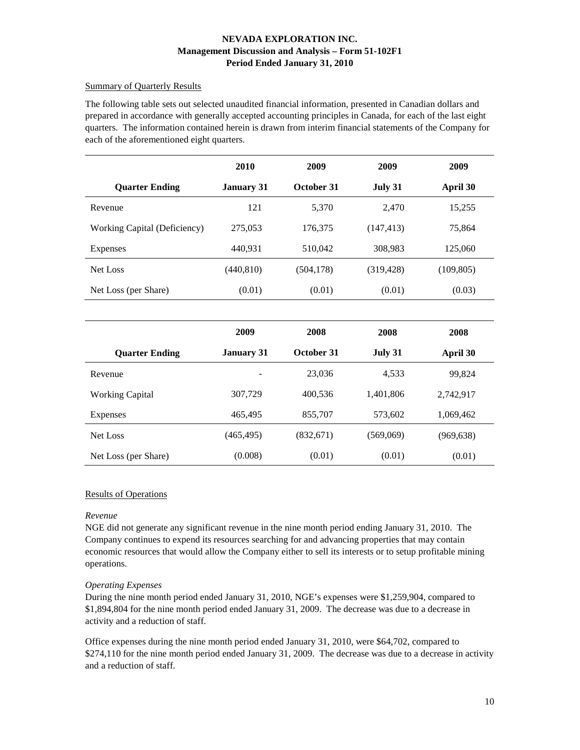## Summary of Quarterly Results

The following table sets out selected unaudited financial information, presented in Canadian dollars and prepared in accordance with generally accepted accounting principles in Canada, for each of the last eight quarters. The information contained herein is drawn from interim financial statements of the Company for each of the aforementioned eight quarters.

|                              | 2010              | 2009       | 2009       | 2009       |  |
|------------------------------|-------------------|------------|------------|------------|--|
| <b>Quarter Ending</b>        | <b>January 31</b> | October 31 | July 31    | April 30   |  |
| Revenue                      | 121               | 5,370      | 2,470      | 15,255     |  |
| Working Capital (Deficiency) | 275,053           | 176,375    | (147, 413) | 75,864     |  |
| <b>Expenses</b>              | 440.931           | 510,042    | 308,983    | 125,060    |  |
| Net Loss                     | (440, 810)        | (504, 178) | (319, 428) | (109, 805) |  |
| Net Loss (per Share)         | (0.01)            | (0.01)     | (0.01)     | (0.03)     |  |

|                        | 2009              | 2008       | 2008      | 2008       |  |
|------------------------|-------------------|------------|-----------|------------|--|
| <b>Quarter Ending</b>  | <b>January 31</b> | October 31 | July 31   | April 30   |  |
| Revenue                |                   | 23,036     | 4,533     | 99,824     |  |
| <b>Working Capital</b> | 307,729           | 400,536    | 1,401,806 | 2,742,917  |  |
| <b>Expenses</b>        | 465,495           | 855,707    | 573,602   | 1,069,462  |  |
| Net Loss               | (465,495)         | (832,671)  | (569,069) | (969, 638) |  |
| Net Loss (per Share)   | (0.008)           | (0.01)     | (0.01)    | (0.01)     |  |

### Results of Operations

### *Revenue*

NGE did not generate any significant revenue in the nine month period ending January 31, 2010. The Company continues to expend its resources searching for and advancing properties that may contain economic resources that would allow the Company either to sell its interests or to setup profitable mining operations.

### *Operating Expenses*

During the nine month period ended January 31, 2010, NGE's expenses were \$1,259,904, compared to \$1,894,804 for the nine month period ended January 31, 2009. The decrease was due to a decrease in activity and a reduction of staff.

Office expenses during the nine month period ended January 31, 2010, were \$64,702, compared to \$274,110 for the nine month period ended January 31, 2009. The decrease was due to a decrease in activity and a reduction of staff.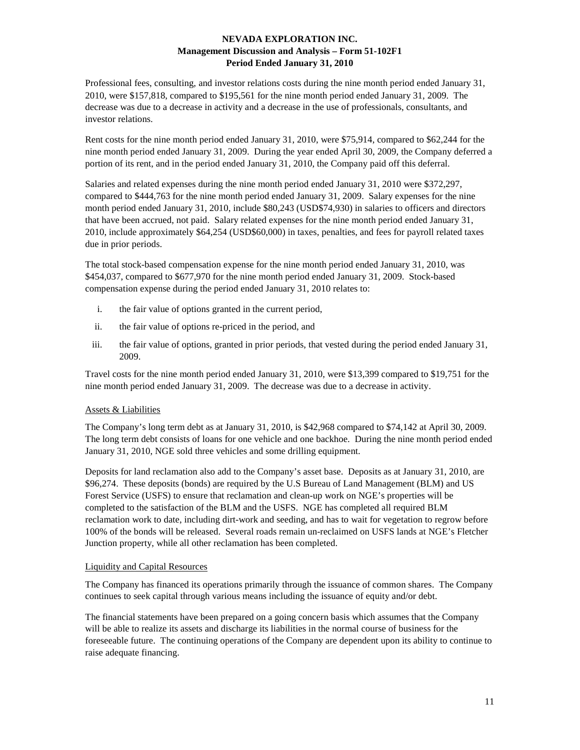Professional fees, consulting, and investor relations costs during the nine month period ended January 31, 2010, were \$157,818, compared to \$195,561 for the nine month period ended January 31, 2009. The decrease was due to a decrease in activity and a decrease in the use of professionals, consultants, and investor relations.

Rent costs for the nine month period ended January 31, 2010, were \$75,914, compared to \$62,244 for the nine month period ended January 31, 2009. During the year ended April 30, 2009, the Company deferred a portion of its rent, and in the period ended January 31, 2010, the Company paid off this deferral.

Salaries and related expenses during the nine month period ended January 31, 2010 were \$372,297, compared to \$444,763 for the nine month period ended January 31, 2009. Salary expenses for the nine month period ended January 31, 2010, include \$80,243 (USD\$74,930) in salaries to officers and directors that have been accrued, not paid. Salary related expenses for the nine month period ended January 31, 2010, include approximately \$64,254 (USD\$60,000) in taxes, penalties, and fees for payroll related taxes due in prior periods.

The total stock-based compensation expense for the nine month period ended January 31, 2010, was \$454,037, compared to \$677,970 for the nine month period ended January 31, 2009. Stock-based compensation expense during the period ended January 31, 2010 relates to:

- i. the fair value of options granted in the current period,
- ii. the fair value of options re-priced in the period, and
- iii. the fair value of options, granted in prior periods, that vested during the period ended January 31, 2009.

Travel costs for the nine month period ended January 31, 2010, were \$13,399 compared to \$19,751 for the nine month period ended January 31, 2009. The decrease was due to a decrease in activity.

### Assets & Liabilities

The Company's long term debt as at January 31, 2010, is \$42,968 compared to \$74,142 at April 30, 2009. The long term debt consists of loans for one vehicle and one backhoe. During the nine month period ended January 31, 2010, NGE sold three vehicles and some drilling equipment.

Deposits for land reclamation also add to the Company's asset base. Deposits as at January 31, 2010, are \$96,274. These deposits (bonds) are required by the U.S Bureau of Land Management (BLM) and US Forest Service (USFS) to ensure that reclamation and clean-up work on NGE's properties will be completed to the satisfaction of the BLM and the USFS. NGE has completed all required BLM reclamation work to date, including dirt-work and seeding, and has to wait for vegetation to regrow before 100% of the bonds will be released. Several roads remain un-reclaimed on USFS lands at NGE's Fletcher Junction property, while all other reclamation has been completed.

#### Liquidity and Capital Resources

The Company has financed its operations primarily through the issuance of common shares. The Company continues to seek capital through various means including the issuance of equity and/or debt.

The financial statements have been prepared on a going concern basis which assumes that the Company will be able to realize its assets and discharge its liabilities in the normal course of business for the foreseeable future. The continuing operations of the Company are dependent upon its ability to continue to raise adequate financing.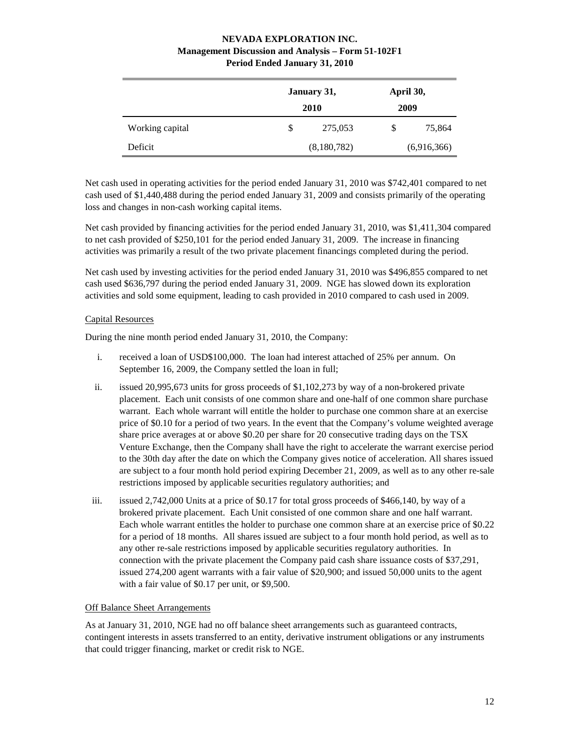|                 | January 31,<br>2010 | April 30,<br>2009 |  |
|-----------------|---------------------|-------------------|--|
| Working capital | \$<br>275,053       | \$<br>75,864      |  |
| Deficit         | (8,180,782)         | (6,916,366)       |  |

Net cash used in operating activities for the period ended January 31, 2010 was \$742,401 compared to net cash used of \$1,440,488 during the period ended January 31, 2009 and consists primarily of the operating loss and changes in non-cash working capital items.

Net cash provided by financing activities for the period ended January 31, 2010, was \$1,411,304 compared to net cash provided of \$250,101 for the period ended January 31, 2009. The increase in financing activities was primarily a result of the two private placement financings completed during the period.

Net cash used by investing activities for the period ended January 31, 2010 was \$496,855 compared to net cash used \$636,797 during the period ended January 31, 2009. NGE has slowed down its exploration activities and sold some equipment, leading to cash provided in 2010 compared to cash used in 2009.

# Capital Resources

During the nine month period ended January 31, 2010, the Company:

- i. received a loan of USD\$100,000. The loan had interest attached of 25% per annum. On September 16, 2009, the Company settled the loan in full;
- ii. issued 20,995,673 units for gross proceeds of \$1,102,273 by way of a non-brokered private placement. Each unit consists of one common share and one-half of one common share purchase warrant. Each whole warrant will entitle the holder to purchase one common share at an exercise price of \$0.10 for a period of two years. In the event that the Company's volume weighted average share price averages at or above \$0.20 per share for 20 consecutive trading days on the TSX Venture Exchange, then the Company shall have the right to accelerate the warrant exercise period to the 30th day after the date on which the Company gives notice of acceleration. All shares issued are subject to a four month hold period expiring December 21, 2009, as well as to any other re-sale restrictions imposed by applicable securities regulatory authorities; and
- iii. issued 2,742,000 Units at a price of \$0.17 for total gross proceeds of \$466,140, by way of a brokered private placement. Each Unit consisted of one common share and one half warrant. Each whole warrant entitles the holder to purchase one common share at an exercise price of \$0.22 for a period of 18 months. All shares issued are subject to a four month hold period, as well as to any other re-sale restrictions imposed by applicable securities regulatory authorities. In connection with the private placement the Company paid cash share issuance costs of \$37,291, issued 274,200 agent warrants with a fair value of \$20,900; and issued 50,000 units to the agent with a fair value of \$0.17 per unit, or \$9,500.

### Off Balance Sheet Arrangements

As at January 31, 2010, NGE had no off balance sheet arrangements such as guaranteed contracts, contingent interests in assets transferred to an entity, derivative instrument obligations or any instruments that could trigger financing, market or credit risk to NGE.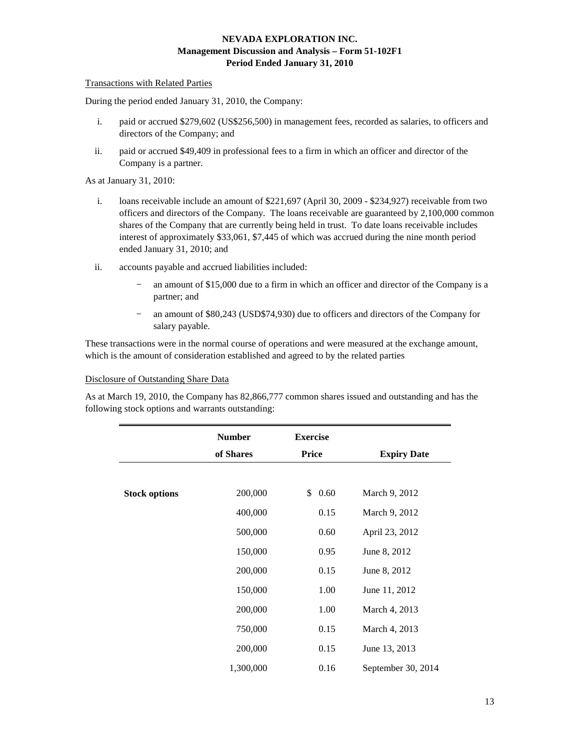#### Transactions with Related Parties

During the period ended January 31, 2010, the Company:

- i. paid or accrued \$279,602 (US\$256,500) in management fees, recorded as salaries, to officers and directors of the Company; and
- ii. paid or accrued \$49,409 in professional fees to a firm in which an officer and director of the Company is a partner.

As at January 31, 2010:

- i. loans receivable include an amount of \$221,697 (April 30, 2009 \$234,927) receivable from two officers and directors of the Company. The loans receivable are guaranteed by 2,100,000 common shares of the Company that are currently being held in trust. To date loans receivable includes interest of approximately \$33,061, \$7,445 of which was accrued during the nine month period ended January 31, 2010; and
- ii. accounts payable and accrued liabilities included:
	- an amount of \$15,000 due to a firm in which an officer and director of the Company is a partner; and
	- − an amount of \$80,243 (USD\$74,930) due to officers and directors of the Company for salary payable.

These transactions were in the normal course of operations and were measured at the exchange amount, which is the amount of consideration established and agreed to by the related parties

#### Disclosure of Outstanding Share Data

As at March 19, 2010, the Company has 82,866,777 common shares issued and outstanding and has the following stock options and warrants outstanding:

|                      | <b>Number</b> | <b>Exercise</b> |                    |
|----------------------|---------------|-----------------|--------------------|
|                      | of Shares     | <b>Price</b>    | <b>Expiry Date</b> |
|                      |               |                 |                    |
| <b>Stock options</b> | 200,000       | 0.60<br>\$      | March 9, 2012      |
|                      | 400,000       | 0.15            | March 9, 2012      |
|                      | 500,000       | 0.60            | April 23, 2012     |
|                      | 150,000       | 0.95            | June 8, 2012       |
|                      | 200,000       | 0.15            | June 8, 2012       |
|                      | 150,000       | 1.00            | June 11, 2012      |
|                      | 200,000       | 1.00            | March 4, 2013      |
|                      | 750,000       | 0.15            | March 4, 2013      |
|                      | 200,000       | 0.15            | June 13, 2013      |
|                      | 1,300,000     | 0.16            | September 30, 2014 |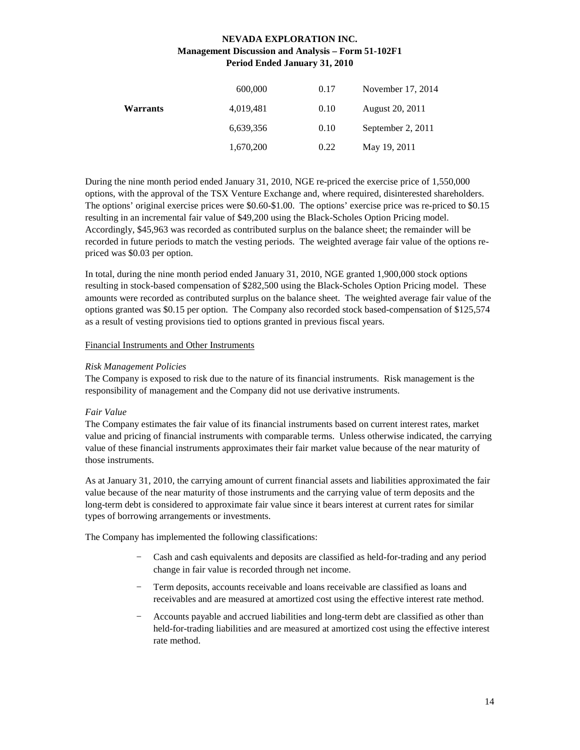|                 | 600,000   | 0.17 | November 17, 2014 |
|-----------------|-----------|------|-------------------|
| <b>Warrants</b> | 4,019,481 | 0.10 | August 20, 2011   |
|                 | 6,639,356 | 0.10 | September 2, 2011 |
|                 | 1,670,200 | 0.22 | May 19, 2011      |

During the nine month period ended January 31, 2010, NGE re-priced the exercise price of 1,550,000 options, with the approval of the TSX Venture Exchange and, where required, disinterested shareholders. The options' original exercise prices were \$0.60-\$1.00. The options' exercise price was re-priced to \$0.15 resulting in an incremental fair value of \$49,200 using the Black-Scholes Option Pricing model. Accordingly, \$45,963 was recorded as contributed surplus on the balance sheet; the remainder will be recorded in future periods to match the vesting periods. The weighted average fair value of the options repriced was \$0.03 per option.

In total, during the nine month period ended January 31, 2010, NGE granted 1,900,000 stock options resulting in stock-based compensation of \$282,500 using the Black-Scholes Option Pricing model. These amounts were recorded as contributed surplus on the balance sheet. The weighted average fair value of the options granted was \$0.15 per option. The Company also recorded stock based-compensation of \$125,574 as a result of vesting provisions tied to options granted in previous fiscal years.

### Financial Instruments and Other Instruments

### *Risk Management Policies*

The Company is exposed to risk due to the nature of its financial instruments. Risk management is the responsibility of management and the Company did not use derivative instruments.

### *Fair Value*

The Company estimates the fair value of its financial instruments based on current interest rates, market value and pricing of financial instruments with comparable terms. Unless otherwise indicated, the carrying value of these financial instruments approximates their fair market value because of the near maturity of those instruments.

As at January 31, 2010, the carrying amount of current financial assets and liabilities approximated the fair value because of the near maturity of those instruments and the carrying value of term deposits and the long-term debt is considered to approximate fair value since it bears interest at current rates for similar types of borrowing arrangements or investments.

The Company has implemented the following classifications:

- − Cash and cash equivalents and deposits are classified as held-for-trading and any period change in fair value is recorded through net income.
- Term deposits, accounts receivable and loans receivable are classified as loans and receivables and are measured at amortized cost using the effective interest rate method.
- − Accounts payable and accrued liabilities and long-term debt are classified as other than held-for-trading liabilities and are measured at amortized cost using the effective interest rate method.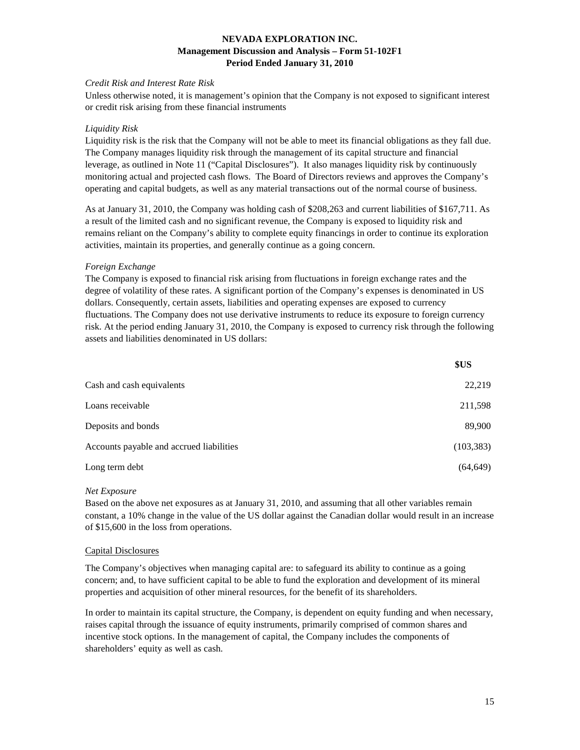### *Credit Risk and Interest Rate Risk*

Unless otherwise noted, it is management's opinion that the Company is not exposed to significant interest or credit risk arising from these financial instruments

#### *Liquidity Risk*

Liquidity risk is the risk that the Company will not be able to meet its financial obligations as they fall due. The Company manages liquidity risk through the management of its capital structure and financial leverage, as outlined in Note 11 ("Capital Disclosures"). It also manages liquidity risk by continuously monitoring actual and projected cash flows. The Board of Directors reviews and approves the Company's operating and capital budgets, as well as any material transactions out of the normal course of business.

As at January 31, 2010, the Company was holding cash of \$208,263 and current liabilities of \$167,711. As a result of the limited cash and no significant revenue, the Company is exposed to liquidity risk and remains reliant on the Company's ability to complete equity financings in order to continue its exploration activities, maintain its properties, and generally continue as a going concern.

#### *Foreign Exchange*

The Company is exposed to financial risk arising from fluctuations in foreign exchange rates and the degree of volatility of these rates. A significant portion of the Company's expenses is denominated in US dollars. Consequently, certain assets, liabilities and operating expenses are exposed to currency fluctuations. The Company does not use derivative instruments to reduce its exposure to foreign currency risk. At the period ending January 31, 2010, the Company is exposed to currency risk through the following assets and liabilities denominated in US dollars:

|                                          | \$US       |
|------------------------------------------|------------|
| Cash and cash equivalents                | 22,219     |
| Loans receivable                         | 211,598    |
| Deposits and bonds                       | 89,900     |
| Accounts payable and accrued liabilities | (103, 383) |
| Long term debt                           | (64,649)   |

#### *Net Exposure*

Based on the above net exposures as at January 31, 2010, and assuming that all other variables remain constant, a 10% change in the value of the US dollar against the Canadian dollar would result in an increase of \$15,600 in the loss from operations.

#### Capital Disclosures

The Company's objectives when managing capital are: to safeguard its ability to continue as a going concern; and, to have sufficient capital to be able to fund the exploration and development of its mineral properties and acquisition of other mineral resources, for the benefit of its shareholders.

In order to maintain its capital structure, the Company, is dependent on equity funding and when necessary, raises capital through the issuance of equity instruments, primarily comprised of common shares and incentive stock options. In the management of capital, the Company includes the components of shareholders' equity as well as cash.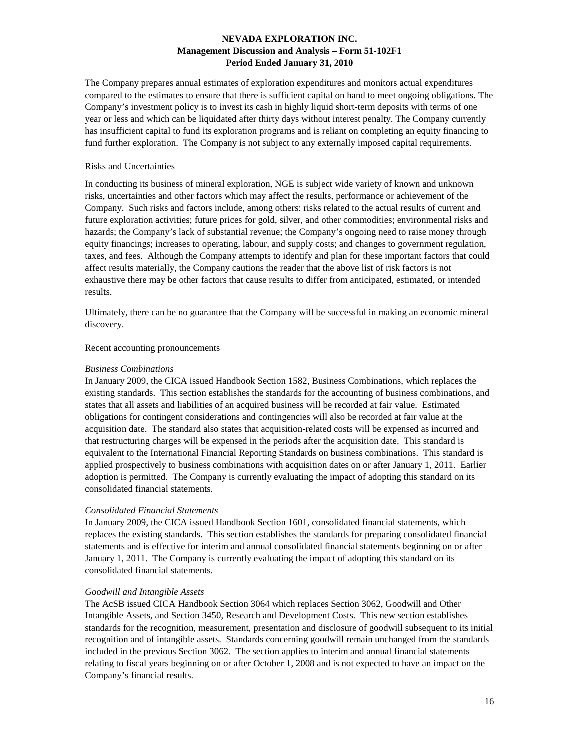The Company prepares annual estimates of exploration expenditures and monitors actual expenditures compared to the estimates to ensure that there is sufficient capital on hand to meet ongoing obligations. The Company's investment policy is to invest its cash in highly liquid short-term deposits with terms of one year or less and which can be liquidated after thirty days without interest penalty. The Company currently has insufficient capital to fund its exploration programs and is reliant on completing an equity financing to fund further exploration. The Company is not subject to any externally imposed capital requirements.

#### Risks and Uncertainties

In conducting its business of mineral exploration, NGE is subject wide variety of known and unknown risks, uncertainties and other factors which may affect the results, performance or achievement of the Company. Such risks and factors include, among others: risks related to the actual results of current and future exploration activities; future prices for gold, silver, and other commodities; environmental risks and hazards; the Company's lack of substantial revenue; the Company's ongoing need to raise money through equity financings; increases to operating, labour, and supply costs; and changes to government regulation, taxes, and fees. Although the Company attempts to identify and plan for these important factors that could affect results materially, the Company cautions the reader that the above list of risk factors is not exhaustive there may be other factors that cause results to differ from anticipated, estimated, or intended results.

Ultimately, there can be no guarantee that the Company will be successful in making an economic mineral discovery.

#### Recent accounting pronouncements

#### *Business Combinations*

In January 2009, the CICA issued Handbook Section 1582, Business Combinations, which replaces the existing standards. This section establishes the standards for the accounting of business combinations, and states that all assets and liabilities of an acquired business will be recorded at fair value. Estimated obligations for contingent considerations and contingencies will also be recorded at fair value at the acquisition date. The standard also states that acquisition-related costs will be expensed as incurred and that restructuring charges will be expensed in the periods after the acquisition date. This standard is equivalent to the International Financial Reporting Standards on business combinations. This standard is applied prospectively to business combinations with acquisition dates on or after January 1, 2011. Earlier adoption is permitted. The Company is currently evaluating the impact of adopting this standard on its consolidated financial statements.

#### *Consolidated Financial Statements*

In January 2009, the CICA issued Handbook Section 1601, consolidated financial statements, which replaces the existing standards. This section establishes the standards for preparing consolidated financial statements and is effective for interim and annual consolidated financial statements beginning on or after January 1, 2011. The Company is currently evaluating the impact of adopting this standard on its consolidated financial statements.

#### *Goodwill and Intangible Assets*

The AcSB issued CICA Handbook Section 3064 which replaces Section 3062, Goodwill and Other Intangible Assets, and Section 3450, Research and Development Costs. This new section establishes standards for the recognition, measurement, presentation and disclosure of goodwill subsequent to its initial recognition and of intangible assets. Standards concerning goodwill remain unchanged from the standards included in the previous Section 3062. The section applies to interim and annual financial statements relating to fiscal years beginning on or after October 1, 2008 and is not expected to have an impact on the Company's financial results.